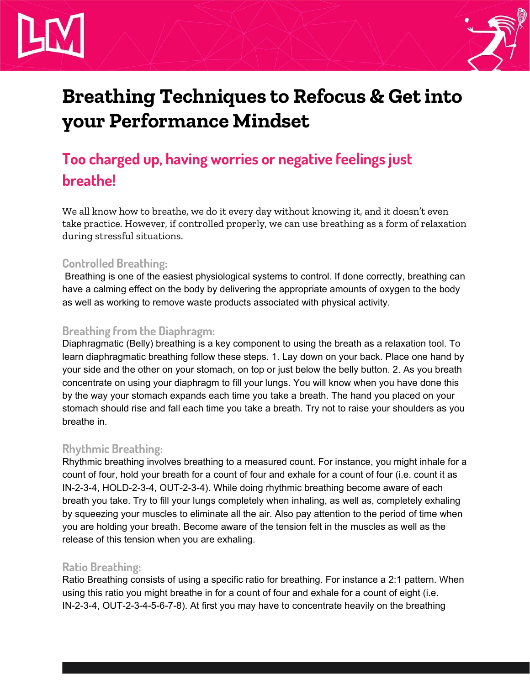# **Breathing Techniques to Refocus & Getinto your Performance Mindset**

# **Too charged up, having worries or negative feelings just breathe!**

We all know how to breathe, we do it every day without knowing it, and it doesn't even take practice. However, if controlled properly, we can use breathing as a form of relaxation during stressful situations.

## **Controlled Breathing:**

Breathing is one of the easiest physiological systems to control. If done correctly, breathing can have a calming effect on the body by delivering the appropriate amounts of oxygen to the body as well as working to remove waste products associated with physical activity.

# **Breathing from the Diaphragm:**

Diaphragmatic (Belly) breathing is a key component to using the breath as a relaxation tool. To learn diaphragmatic breathing follow these steps. 1. Lay down on your back. Place one hand by your side and the other on your stomach, on top or just below the belly button. 2. As you breath concentrate on using your diaphragm to fill your lungs. You will know when you have done this by the way your stomach expands each time you take a breath. The hand you placed on your stomach should rise and fall each time you take a breath. Try not to raise your shoulders as you breathe in.

## **Rhythmic Breathing:**

Rhythmic breathing involves breathing to a measured count. For instance, you might inhale for a count of four, hold your breath for a count of four and exhale for a count of four (i.e. count it as IN-2-3-4, HOLD-2-3-4, OUT-2-3-4). While doing rhythmic breathing become aware of each breath you take. Try to fill your lungs completely when inhaling, as well as, completely exhaling by squeezing your muscles to eliminate all the air. Also pay attention to the period of time when you are holding your breath. Become aware of the tension felt in the muscles as well as the release of this tension when you are exhaling.

## **Ratio Breathing:**

Ratio Breathing consists of using a specific ratio for breathing. For instance a 2:1 pattern. When using this ratio you might breathe in for a count of four and exhale for a count of eight (i.e. IN-2-3-4, OUT-2-3-4-5-6-7-8). At first you may have to concentrate heavily on the breathing